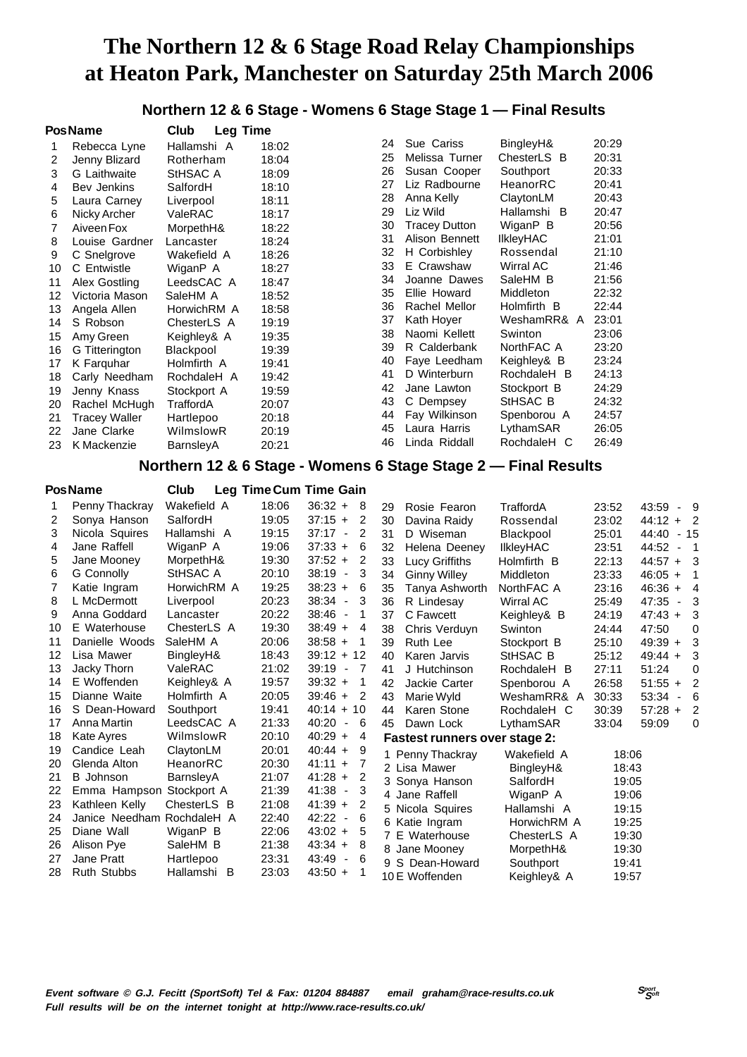**Northern 12 & 6 Stage - Womens 6 Stage Stage 1 — Final Results**

|    | PosName              | Club<br><b>Leg Time</b> |       |    |                      |                  |       |
|----|----------------------|-------------------------|-------|----|----------------------|------------------|-------|
| 1  | Rebecca Lyne         | Hallamshi A             | 18:02 | 24 | Sue Cariss           | BingleyH&        | 20:29 |
| 2  | Jenny Blizard        | Rotherham               | 18:04 | 25 | Melissa Turner       | ChesterLS B      | 20:31 |
| 3  | G Laithwaite         | StHSAC A                | 18:09 | 26 | Susan Cooper         | Southport        | 20:33 |
| 4  | Bev Jenkins          | SalfordH                | 18:10 | 27 | Liz Radbourne        | HeanorRC         | 20:41 |
| 5  | Laura Carney         | Liverpool               | 18:11 | 28 | Anna Kelly           | ClaytonLM        | 20:43 |
| 6  | Nicky Archer         | ValeRAC                 | 18:17 | 29 | Liz Wild             | Hallamshi B      | 20:47 |
| 7  | Aiveen Fox           | MorpethH&               | 18:22 | 30 | <b>Tracey Dutton</b> | WiganP B         | 20:56 |
| 8  | Louise Gardner       | Lancaster               | 18:24 | 31 | Alison Bennett       | <b>IIkleyHAC</b> | 21:01 |
| 9  | C Snelgrove          | Wakefield A             | 18:26 | 32 | H Corbishley         | Rossendal        | 21:10 |
| 10 | C Entwistle          | WiganP A                | 18:27 | 33 | E Crawshaw           | Wirral AC        | 21:46 |
| 11 | Alex Gostling        | LeedsCAC A              | 18:47 | 34 | Joanne Dawes         | SaleHM B         | 21:56 |
| 12 | Victoria Mason       | SaleHM A                | 18:52 | 35 | Ellie Howard         | Middleton        | 22:32 |
| 13 | Angela Allen         | HorwichRM A             | 18:58 | 36 | Rachel Mellor        | Holmfirth B      | 22:44 |
| 14 | S Robson             | ChesterLS A             | 19:19 | 37 | Kath Hover           | WeshamRR& A      | 23:01 |
| 15 | Amy Green            | Keighley& A             | 19:35 | 38 | Naomi Kellett        | Swinton          | 23:06 |
| 16 | G Titterington       | Blackpool               | 19:39 | 39 | R Calderbank         | NorthFAC A       | 23:20 |
| 17 | K Farguhar           | Holmfirth A             | 19:41 | 40 | Faye Leedham         | Keighley& B      | 23:24 |
| 18 | Carly Needham        | RochdaleH A             | 19:42 | 41 | D Winterburn         | RochdaleH B      | 24:13 |
| 19 | Jenny Knass          | Stockport A             | 19:59 | 42 | Jane Lawton          | Stockport B      | 24:29 |
| 20 | Rachel McHugh        | TraffordA               | 20:07 | 43 | C Dempsey            | StHSAC B         | 24:32 |
| 21 | <b>Tracey Waller</b> | Hartlepoo               | 20:18 | 44 | Fay Wilkinson        | Spenborou A      | 24:57 |
| 22 | Jane Clarke          | WilmslowR               | 20:19 | 45 | Laura Harris         | LythamSAR        | 26:05 |
| 23 | K Mackenzie          | BarnsleyA               | 20:21 | 46 | Linda Riddall        | RochdaleH C      | 26:49 |

#### **Northern 12 & 6 Stage - Womens 6 Stage Stage 2 — Final Results**

|    | <b>PosName</b>             | Club        |       | Leg Time Cum Time Gain                  |    |                                      |                  |       |                                   |                          |
|----|----------------------------|-------------|-------|-----------------------------------------|----|--------------------------------------|------------------|-------|-----------------------------------|--------------------------|
|    | Penny Thackray             | Wakefield A | 18:06 | $36:32 +$<br>-8                         | 29 | Rosie Fearon                         | TraffordA        | 23:52 | 43:59 - 9                         |                          |
| 2  | Sonya Hanson               | SalfordH    | 19:05 | $37:15 +$<br>2                          | 30 | Davina Raidy                         | Rossendal        | 23:02 | $44:12 + 2$                       |                          |
| 3  | Nicola Squires             | Hallamshi A | 19:15 | 37:17<br>2<br>$\blacksquare$            | 31 | D Wiseman                            | Blackpool        | 25:01 | 44:40 - 15                        |                          |
| 4  | Jane Raffell               | WiganP A    | 19:06 | $37:33 +$<br>6                          | 32 | Helena Deeney                        | <b>IIkleyHAC</b> | 23:51 | 44:52<br>$\blacksquare$           | $\overline{\phantom{0}}$ |
| 5  | Jane Mooney                | MorpethH&   | 19:30 | $37:52 +$<br>2                          | 33 | Lucy Griffiths                       | Holmfirth B      | 22:13 | $44:57 + 3$                       |                          |
| 6  | G Connolly                 | StHSAC A    | 20:10 | 38:19<br>3<br>$\overline{\phantom{a}}$  | 34 | <b>Ginny Willey</b>                  | Middleton        | 23:33 | $46:05 +$                         | -1                       |
| 7  | Katie Ingram               | HorwichRM A | 19:25 | $38:23 +$<br>6                          | 35 | Tanya Ashworth                       | NorthFAC A       | 23:16 | $46:36 +$                         | 4                        |
| 8  | L McDermott                | Liverpool   | 20:23 | $38:34 -$<br>3                          | 36 | R Lindesay                           | <b>Wirral AC</b> | 25:49 | 47:35<br>$\blacksquare$           | 3                        |
| 9  | Anna Goddard               | Lancaster   | 20:22 | 38:46<br>1<br>$\overline{\phantom{a}}$  | 37 | C Fawcett                            | Keighley& B      | 24:19 | $47:43 +$                         | 3                        |
| 10 | E Waterhouse               | ChesterLS A | 19:30 | $38:49 +$<br>4                          | 38 | Chris Verduyn                        | Swinton          | 24:44 | 47:50                             | 0                        |
| 11 | Danielle Woods             | SaleHM A    | 20:06 | $38:58 +$<br>-1                         | 39 | Ruth Lee                             | Stockport B      | 25:10 | $49:39 +$                         | 3                        |
| 12 | Lisa Mawer                 | BingleyH&   | 18:43 | $39:12 + 12$                            | 40 | Karen Jarvis                         | StHSAC B         | 25:12 | $49:44 +$                         | 3                        |
| 13 | Jacky Thorn                | ValeRAC     | 21:02 | 39:19<br>-7<br>$\overline{\phantom{a}}$ | 41 | J Hutchinson                         | RochdaleH B      | 27:11 | 51:24                             | 0                        |
| 14 | E Woffenden                | Keighley& A | 19:57 | $39:32 +$<br>-1                         | 42 | Jackie Carter                        | Spenborou A      | 26:58 | $51:55 +$                         | 2                        |
| 15 | Dianne Waite               | Holmfirth A | 20:05 | $39:46 +$<br>2                          | 43 | Marie Wyld                           | WeshamRR& A      | 30:33 | 53:34<br>$\overline{\phantom{a}}$ | -6                       |
| 16 | S Dean-Howard              | Southport   | 19:41 | $40:14 + 10$                            | 44 | Karen Stone                          | RochdaleH C      | 30:39 | $57:28 +$                         | 2                        |
| 17 | Anna Martin                | LeedsCAC A  | 21:33 | 40:20<br>6<br>$\overline{\phantom{a}}$  | 45 | Dawn Lock                            | LythamSAR        | 33:04 | 59:09                             | 0                        |
| 18 | Kate Ayres                 | WilmslowR   | 20:10 | $40:29 +$<br>4                          |    | <b>Fastest runners over stage 2:</b> |                  |       |                                   |                          |
| 19 | Candice Leah               | ClaytonLM   | 20:01 | $40:44 +$<br>- 9                        |    | 1 Penny Thackray                     | Wakefield A      | 18:06 |                                   |                          |
| 20 | Glenda Alton               | HeanorRC    | 20:30 | $41:11 +$<br>7                          |    | 2 Lisa Mawer                         | BingleyH&        | 18:43 |                                   |                          |
| 21 | <b>B</b> Johnson           | BarnsleyA   | 21:07 | $41:28 +$<br>-2                         |    | 3 Sonya Hanson                       | SalfordH         | 19:05 |                                   |                          |
| 22 | Emma Hampson               | Stockport A | 21:39 | $41:38 -$<br>3                          |    | 4 Jane Raffell                       | WiganP A         | 19:06 |                                   |                          |
| 23 | Kathleen Kelly             | ChesterLS B | 21:08 | $41:39 +$<br>2                          |    | 5 Nicola Squires                     | Hallamshi A      | 19:15 |                                   |                          |
| 24 | Janice Needham RochdaleH A |             | 22:40 | 42:22<br>6<br>$\overline{\phantom{a}}$  |    | 6 Katie Ingram                       | HorwichRM A      | 19:25 |                                   |                          |
| 25 | Diane Wall                 | WiganP B    | 22:06 | $43:02 +$<br>5                          |    | 7 E Waterhouse                       | ChesterLS A      | 19:30 |                                   |                          |
| 26 | Alison Pye                 | SaleHM B    | 21:38 | $43:34 +$<br>-8                         |    | 8 Jane Mooney                        | MorpethH&        | 19:30 |                                   |                          |
| 27 | Jane Pratt                 | Hartlepoo   | 23:31 | 43:49<br>6<br>$\overline{\phantom{a}}$  |    | 9 S Dean-Howard                      | Southport        | 19:41 |                                   |                          |
| 28 | <b>Ruth Stubbs</b>         | Hallamshi B | 23:03 | $43:50 +$<br>-1                         |    | 10 E Woffenden                       | Keighley& A      | 19:57 |                                   |                          |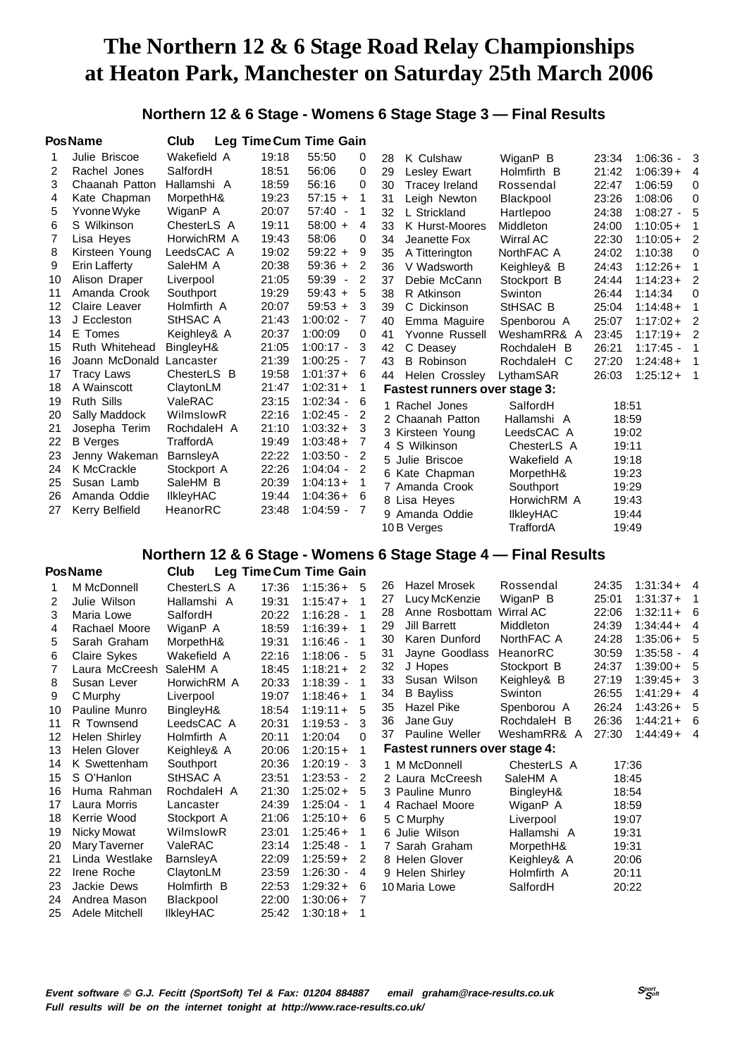### **Northern 12 & 6 Stage - Womens 6 Stage Stage 3 — Final Results**

|    | <b>PosName</b>    | Club             |       | Leg Time Cum Time Gain            |                |    |                                      |                  |       |               |   |
|----|-------------------|------------------|-------|-----------------------------------|----------------|----|--------------------------------------|------------------|-------|---------------|---|
|    | Julie Briscoe     | Wakefield A      | 19:18 | 55:50                             | 0              | 28 | K Culshaw                            | WiganP B         | 23:34 | $1:06:36 - 3$ |   |
| 2  | Rachel Jones      | SalfordH         | 18:51 | 56:06                             | 0              | 29 | <b>Lesley Ewart</b>                  | Holmfirth B      | 21:42 | $1:06:39+$    | 4 |
| 3  | Chaanah Patton    | Hallamshi A      | 18:59 | 56:16                             | 0              | 30 | <b>Tracey Ireland</b>                | Rossendal        | 22:47 | 1:06:59       | 0 |
| 4  | Kate Chapman      | MorpethH&        | 19:23 | $57:15 +$                         | 1              | 31 | Leigh Newton                         | Blackpool        | 23:26 | 1:08:06       | 0 |
| 5  | Yvonne Wyke       | WiganP A         | 20:07 | 57:40<br>$\overline{\phantom{a}}$ | 1              | 32 | L Strickland                         | Hartlepoo        | 24:38 | $1:08:27 -$   | 5 |
| 6  | S Wilkinson       | ChesterLS A      | 19:11 | $58:00 +$                         | 4              | 33 | K Hurst-Moores                       | Middleton        | 24:00 | $1:10:05+$    |   |
| 7  | Lisa Heyes        | HorwichRM A      | 19:43 | 58:06                             | 0              | 34 | Jeanette Fox                         | Wirral AC        | 22:30 | $1:10:05+$    | 2 |
| 8  | Kirsteen Young    | LeedsCAC A       | 19:02 | $59:22 +$                         | 9              | 35 | A Titterington                       | NorthFAC A       | 24:02 | 1:10:38       | 0 |
| 9  | Erin Lafferty     | SaleHM A         | 20:38 | $59:36 +$                         | 2              | 36 | V Wadsworth                          | Keighley& B      | 24:43 | $1:12:26+$    |   |
| 10 | Alison Draper     | Liverpool        | 21:05 | 59:39<br>$\overline{\phantom{a}}$ | 2              | 37 | Debie McCann                         | Stockport B      | 24:44 | $1:14:23+$    | 2 |
| 11 | Amanda Crook      | Southport        | 19:29 | $59:43 +$                         | 5              | 38 | R Atkinson                           | Swinton          | 26:44 | 1:14:34       | 0 |
| 12 | Claire Leaver     | Holmfirth A      | 20:07 | $59:53 +$                         | 3              | 39 | C Dickinson                          | StHSAC B         | 25:04 | $1:14:48+$    |   |
| 13 | J Eccleston       | StHSAC A         | 21:43 | $1:00:02 -$                       | 7              | 40 | Emma Maguire                         | Spenborou A      | 25:07 | $1:17:02+$    | 2 |
| 14 | E Tomes           | Keighley& A      | 20:37 | 1:00:09                           | 0              | 41 | Yvonne Russell                       | WeshamRR& A      | 23:45 | $1:17:19+$    | 2 |
| 15 | Ruth Whitehead    | BingleyH&        | 21:05 | $1:00:17 -$                       | 3              | 42 | C Deasey                             | RochdaleH B      | 26:21 | $1:17:45 -$   |   |
| 16 | Joann McDonald    | Lancaster        | 21:39 | $1:00:25 -$                       | 7              | 43 | <b>B</b> Robinson                    | RochdaleH C      | 27:20 | $1:24:48+$    | 1 |
| 17 | <b>Tracy Laws</b> | ChesterLS B      | 19:58 | $1:01:37+$                        | 6              | 44 | Helen Crossley                       | LythamSAR        | 26:03 | $1:25:12+$    | 1 |
| 18 | A Wainscott       | ClaytonLM        | 21:47 | $1:02:31+$                        | 1              |    | <b>Fastest runners over stage 3:</b> |                  |       |               |   |
| 19 | <b>Ruth Sills</b> | ValeRAC          | 23:15 | $1:02:34 -$                       | 6              |    | 1 Rachel Jones                       | SalfordH         | 18:51 |               |   |
| 20 | Sally Maddock     | WilmslowR        | 22:16 | $1:02:45 -$                       | 2              |    | 2 Chaanah Patton                     | Hallamshi A      | 18:59 |               |   |
| 21 | Josepha Terim     | RochdaleH A      | 21:10 | $1:03:32+$                        | - 3            |    | 3 Kirsteen Young                     | LeedsCAC A       | 19:02 |               |   |
| 22 | <b>B</b> Verges   | TraffordA        | 19:49 | $1:03:48+$                        | 7              |    | 4 S Wilkinson                        | ChesterLS A      | 19:11 |               |   |
| 23 | Jenny Wakeman     | BarnsleyA        | 22:22 | $1:03:50 -$                       | 2              |    | 5 Julie Briscoe                      | Wakefield A      | 19:18 |               |   |
| 24 | K McCrackle       | Stockport A      | 22:26 | $1:04:04 -$                       | $\overline{2}$ |    | 6 Kate Chapman                       | MorpethH&        | 19:23 |               |   |
| 25 | Susan Lamb        | SaleHM B         | 20:39 | $1:04:13+$                        | 1              |    | 7 Amanda Crook                       | Southport        | 19:29 |               |   |
| 26 | Amanda Oddie      | <b>IIkleyHAC</b> | 19:44 | $1:04:36+$                        | -6             |    | 8 Lisa Heyes                         | HorwichRM A      | 19:43 |               |   |
| 27 | Kerry Belfield    | HeanorRC         | 23:48 | $1:04:59 -$                       | 7              |    | 9 Amanda Oddie                       | <b>IIkleyHAC</b> | 19:44 |               |   |
|    |                   |                  |       |                                   |                |    | 10 B Verges                          | TraffordA        | 19:49 |               |   |

## **Northern 12 & 6 Stage - Womens 6 Stage Stage 4 — Final Results**

| <b>PosName</b> |                | Club             |       | Leg Time Cum Time Gain |    |    |                                      |                  |       |               |                          |
|----------------|----------------|------------------|-------|------------------------|----|----|--------------------------------------|------------------|-------|---------------|--------------------------|
|                | M McDonnell    | ChesterLS A      | 17:36 | $1:15:36+5$            |    | 26 | Hazel Mrosek                         | Rossendal        | 24:35 | $1:31:34 + 4$ |                          |
| 2              | Julie Wilson   | Hallamshi A      | 19:31 | $1:15:47+$             | -1 | 27 | Lucy McKenzie                        | WiganP B         | 25:01 | $1:31:37+$    | $\overline{\phantom{0}}$ |
| 3              | Maria Lowe     | SalfordH         | 20:22 | $1:16:28 -$            |    | 28 | Anne Rosbottam                       | Wirral AC        | 22:06 | $1:32:11+6$   |                          |
| 4              | Rachael Moore  | WiganP A         | 18:59 | $1:16:39+$             | -1 | 29 | <b>Jill Barrett</b>                  | <b>Middleton</b> | 24:39 | $1:34:44+$    | 4                        |
| 5              | Sarah Graham   | MorpethH&        | 19:31 | $1:16:46 -$            | 1  | 30 | Karen Dunford                        | NorthFAC A       | 24:28 | $1:35:06+5$   |                          |
| 6              | Claire Sykes   | Wakefield A      | 22:16 | $1:18:06 -$            | 5  | 31 | Jayne Goodlass                       | HeanorRC         | 30:59 | $1:35:58 -$   | 4                        |
| 7              | Laura McCreesh | SaleHM A         | 18:45 | $1:18:21+$             | 2  | 32 | J Hopes                              | Stockport B      | 24:37 | $1:39:00+5$   |                          |
| 8              | Susan Lever    | HorwichRM A      | 20:33 | $1:18:39 -$            | 1  | 33 | Susan Wilson                         | Keighley& B      | 27:19 | $1:39:45+$    | -3                       |
| 9              | C Murphy       | Liverpool        | 19:07 | $1:18:46+$             | 1  | 34 | <b>B</b> Bayliss                     | Swinton          | 26:55 | $1:41:29+$    | 4                        |
| 10             | Pauline Munro  | BingleyH&        | 18:54 | $1:19:11+$             | 5  | 35 | Hazel Pike                           | Spenborou A      | 26:24 | $1:43:26+5$   |                          |
| 11             | R Townsend     | LeedsCAC A       | 20:31 | $1:19:53 -$            | 3  | 36 | Jane Guy                             | RochdaleH B      | 26:36 | $1:44:21+$    | -6                       |
| 12             | Helen Shirley  | Holmfirth A      | 20:11 | 1:20:04                | 0  | 37 | Pauline Weller                       | WeshamRR& A      | 27:30 | $1:44:49+4$   |                          |
| 13             | Helen Glover   | Keighley& A      | 20:06 | $1:20:15+$             | 1  |    | <b>Fastest runners over stage 4:</b> |                  |       |               |                          |
| 14             | K Swettenham   | Southport        | 20:36 | $1:20:19 -$            | 3  |    | 1 M McDonnell                        | ChesterLS A      | 17:36 |               |                          |
| 15             | S O'Hanlon     | StHSAC A         | 23:51 | $1:23:53 -$            | 2  |    | 2 Laura McCreesh                     | SaleHM A         | 18:45 |               |                          |
| 16             | Huma Rahman    | RochdaleH A      | 21:30 | $1:25:02+$             | 5  |    | 3 Pauline Munro                      | BingleyH&        | 18:54 |               |                          |
| 17             | Laura Morris   | Lancaster        | 24:39 | $1:25:04 -$            | 1  |    | 4 Rachael Moore                      | WiganP A         | 18:59 |               |                          |
| 18             | Kerrie Wood    | Stockport A      | 21:06 | $1:25:10+$             | 6  |    | 5 C Murphy                           | Liverpool        | 19:07 |               |                          |
| 19             | Nicky Mowat    | WilmslowR        | 23:01 | $1:25:46+$             | 1  |    | 6 Julie Wilson                       | Hallamshi A      | 19:31 |               |                          |
| 20             | Mary Taverner  | ValeRAC          | 23:14 | $1:25:48 -$            | 1  |    | 7 Sarah Graham                       | MorpethH&        | 19:31 |               |                          |
| 21             | Linda Westlake | BarnsleyA        | 22:09 | $1:25:59+$             | 2  |    | 8 Helen Glover                       | Keighley& A      | 20:06 |               |                          |
| 22             | Irene Roche    | ClaytonLM        | 23:59 | $1:26:30 -$            | -4 |    | 9 Helen Shirley                      | Holmfirth A      | 20:11 |               |                          |
| 23             | Jackie Dews    | Holmfirth B      | 22:53 | $1:29:32+$             | 6  |    | 10 Maria Lowe                        | SalfordH         | 20:22 |               |                          |
| 24             | Andrea Mason   | Blackpool        | 22:00 | $1:30:06+$             | 7  |    |                                      |                  |       |               |                          |
| 25             | Adele Mitchell | <b>IIkleyHAC</b> | 25:42 | $1:30:18+$             | 1  |    |                                      |                  |       |               |                          |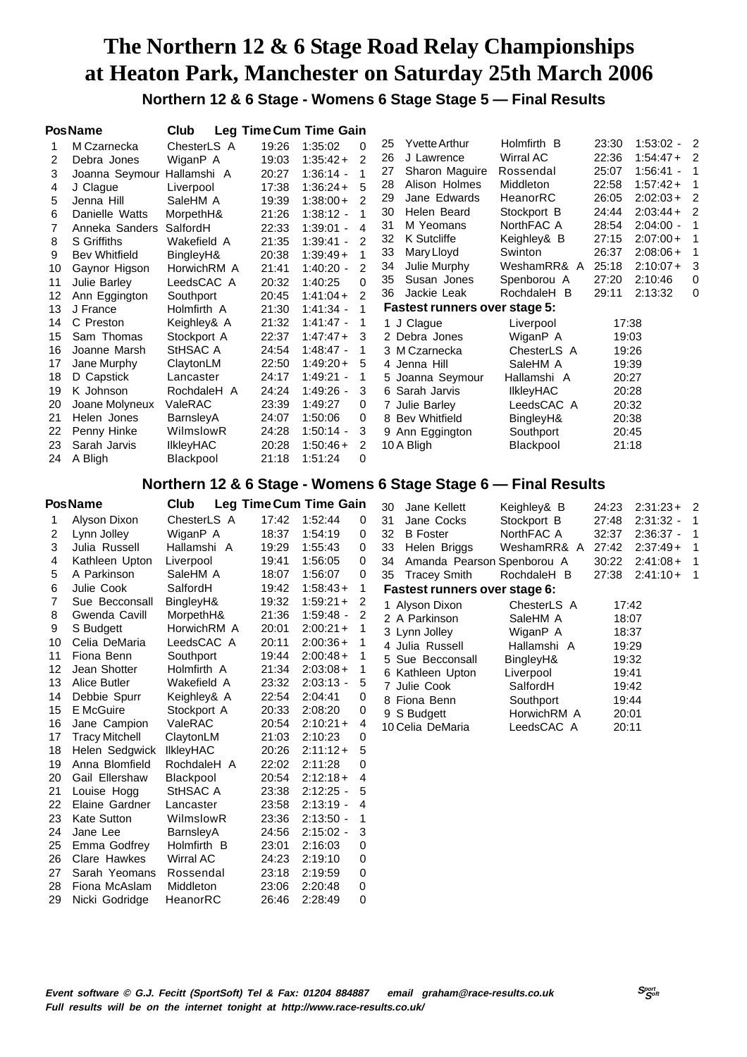## **The Northern 12 & 6 Stage Road Relay Championships at Heaton Park, Manchester on Saturday 25th March 2006 Northern 12 & 6 Stage - Womens 6 Stage Stage 5 — Final Results**

|                                                                                                                                                             | <b>PosName</b>                                                                                                                                                                                                                                                                                                                                                                                                                                                                                   | Club                                                                                                                                                                                                                                                                                                                                                                                                     |                                                                                                                                                                                                                                                                   | Leg Time Cum Time Gain                                                                                                                                                                                                                                                                                                                                                                                   |                                                                                                                                               |                                                                                                                                                                                                                                                                                                                                                                           |                                                                                                                                                                                                                        |                                                                                                                                              |                                                                                                                                                                   |                                                                          |
|-------------------------------------------------------------------------------------------------------------------------------------------------------------|--------------------------------------------------------------------------------------------------------------------------------------------------------------------------------------------------------------------------------------------------------------------------------------------------------------------------------------------------------------------------------------------------------------------------------------------------------------------------------------------------|----------------------------------------------------------------------------------------------------------------------------------------------------------------------------------------------------------------------------------------------------------------------------------------------------------------------------------------------------------------------------------------------------------|-------------------------------------------------------------------------------------------------------------------------------------------------------------------------------------------------------------------------------------------------------------------|----------------------------------------------------------------------------------------------------------------------------------------------------------------------------------------------------------------------------------------------------------------------------------------------------------------------------------------------------------------------------------------------------------|-----------------------------------------------------------------------------------------------------------------------------------------------|---------------------------------------------------------------------------------------------------------------------------------------------------------------------------------------------------------------------------------------------------------------------------------------------------------------------------------------------------------------------------|------------------------------------------------------------------------------------------------------------------------------------------------------------------------------------------------------------------------|----------------------------------------------------------------------------------------------------------------------------------------------|-------------------------------------------------------------------------------------------------------------------------------------------------------------------|--------------------------------------------------------------------------|
| 1<br>2<br>3<br>4<br>5<br>6<br>7<br>8<br>9<br>10<br>11<br>12<br>13<br>14<br>15<br>16<br>17                                                                   | M Czarnecka<br>Debra Jones<br>Joanna Seymour<br>J Clague<br>Jenna Hill<br>Danielle Watts<br>Anneka Sanders<br><b>S</b> Griffiths<br><b>Bev Whitfield</b><br>Gaynor Higson<br>Julie Barley<br>Ann Eggington<br>J France<br>C Preston<br>Sam Thomas<br>Joanne Marsh<br>Jane Murphy                                                                                                                                                                                                                 | ChesterLS A<br>WiganP A<br>Hallamshi A<br>Liverpool<br>SaleHM A<br>MorpethH&<br>SalfordH<br>Wakefield A<br>BingleyH&<br>HorwichRM A<br>LeedsCAC A<br>Southport<br>Holmfirth A<br>Keighley& A<br>Stockport A<br>StHSAC A<br>ClaytonLM                                                                                                                                                                     | 19:26<br>19:03<br>20:27<br>17:38<br>19:39<br>21:26<br>22:33<br>21:35<br>20:38<br>21:41<br>20:32<br>20:45<br>21:30<br>21:32<br>22:37<br>24:54<br>22:50                                                                                                             | 1:35:02<br>$1:35:42+$<br>$1:36:14 -$<br>$1:36:24+$<br>$1:38:00+$<br>$1:38:12 -$<br>$1:39:01 -$<br>$1:39:41 -$<br>$1:39:49+$<br>$1:40:20 -$<br>1:40:25<br>$1:41:04+$<br>$1:41:34 -$<br>$1:41:47 -$<br>$1:47:47+$<br>1:48:47 -<br>$1:49:20+$                                                                                                                                                               | 0<br>$\overline{2}$<br>1<br>5<br>$\overline{2}$<br>1<br>4<br>2<br>1<br>2<br>0<br>$\overline{2}$<br>$\mathbf{1}$<br>1<br>3<br>1<br>5           | 25<br>Yvette Arthur<br>26<br>J Lawrence<br>Sharon Maguire<br>27<br>Alison Holmes<br>28<br>Jane Edwards<br>29<br>Helen Beard<br>30<br>M Yeomans<br>31<br>K Sutcliffe<br>32<br>33<br>Mary Lloyd<br>34<br>Julie Murphy<br>35<br>Susan Jones<br>Jackie Leak<br>36<br><b>Fastest runners over stage 5:</b><br>1 J Clague<br>2 Debra Jones<br>3 M Czarnecka<br>4 Jenna Hill     | Holmfirth B<br>Wirral AC<br>Rossendal<br>Middleton<br>HeanorRC<br>Stockport B<br>NorthFAC A<br>Keighley& B<br>Swinton<br>WeshamRR& A<br>Spenborou A<br>RochdaleH B<br>Liverpool<br>WiganP A<br>ChesterLS A<br>SaleHM A | 23:30<br>22:36<br>25:07<br>22:58<br>26:05<br>24:44<br>28:54<br>27:15<br>26:37<br>25:18<br>27:20<br>29:11<br>17:38<br>19:03<br>19:26<br>19:39 | $1:53:02 -$<br>$1:54:47+$<br>$1:56:41 -$<br>$1:57:42+$<br>$2:02:03+$<br>$2:03:44+$<br>$2:04:00 -$<br>$2:07:00+$<br>$2:08:06+$<br>$2:10:07+$<br>2:10:46<br>2:13:32 | $\overline{2}$<br>2<br>1<br>1<br>$\overline{2}$<br>2<br>1<br>3<br>0<br>0 |
| 18<br>19<br>20<br>21<br>22<br>23<br>24                                                                                                                      | D Capstick<br>K Johnson<br>Joane Molyneux<br>Helen Jones<br>Penny Hinke<br>Sarah Jarvis<br>A Bligh                                                                                                                                                                                                                                                                                                                                                                                               | Lancaster<br>RochdaleH A<br>ValeRAC<br>BarnsleyA<br>WilmslowR<br>IlkleyHAC<br>Blackpool                                                                                                                                                                                                                                                                                                                  | 24:17<br>24:24<br>23:39<br>24:07<br>24:28<br>20:28<br>21:18                                                                                                                                                                                                       | $1:49:21 -$<br>1:49:26 -<br>1:49:27<br>1:50:06<br>$1:50:14 -$<br>$1:50:46+$<br>1:51:24                                                                                                                                                                                                                                                                                                                   | 1<br>3<br>0<br>0<br>3<br>$\overline{2}$<br>0                                                                                                  | 5 Joanna Seymour<br>6 Sarah Jarvis<br>7 Julie Barley<br>8 Bev Whitfield<br>9 Ann Eggington<br>10 A Bligh<br>Northern 12 & 6 Stage - Womens 6 Stage Stage 6 - Final Results                                                                                                                                                                                                | Hallamshi A<br>IlkleyHAC<br>LeedsCAC A<br>BingleyH&<br>Southport<br>Blackpool                                                                                                                                          | 20:27<br>20:28<br>20:32<br>20:38<br>20:45<br>21:18                                                                                           |                                                                                                                                                                   |                                                                          |
|                                                                                                                                                             | <b>PosName</b>                                                                                                                                                                                                                                                                                                                                                                                                                                                                                   | Club                                                                                                                                                                                                                                                                                                                                                                                                     |                                                                                                                                                                                                                                                                   |                                                                                                                                                                                                                                                                                                                                                                                                          |                                                                                                                                               |                                                                                                                                                                                                                                                                                                                                                                           |                                                                                                                                                                                                                        |                                                                                                                                              |                                                                                                                                                                   |                                                                          |
| 1<br>2<br>3<br>4<br>5<br>6<br>7<br>8<br>9<br>10<br>11<br>12<br>14<br>15<br>16<br>17<br>18<br>19<br>20<br>21<br>22<br>23<br>24<br>25<br>26<br>27<br>28<br>29 | Alyson Dixon<br>Lynn Jolley<br>Julia Russell<br>Kathleen Upton<br>A Parkinson<br>Julie Cook<br>Sue Becconsall<br>Gwenda Cavill<br>S Budgett<br>Celia DeMaria<br>Fiona Benn<br>Jean Shotter<br>13 Alice Butler<br>Debbie Spurr<br>E McGuire<br>Jane Campion<br><b>Tracy Mitchell</b><br>Helen Sedgwick<br>Anna Blomfield<br>Gail Ellershaw<br>Louise Hogg<br>Elaine Gardner<br><b>Kate Sutton</b><br>Jane Lee<br>Emma Godfrey<br>Clare Hawkes<br>Sarah Yeomans<br>Fiona McAslam<br>Nicki Godridge | ChesterLS A<br>WiganP A<br>Hallamshi A<br>Liverpool<br>SaleHM A<br>SalfordH<br>BingleyH&<br>MorpethH&<br>HorwichRM A<br>LeedsCAC A<br>Southport<br>Holmfirth A<br>Wakefield A<br>Keighley& A<br>Stockport A<br>ValeRAC<br>ClaytonLM<br><b>IIkleyHAC</b><br>RochdaleH A<br>Blackpool<br>StHSAC A<br>Lancaster<br>WilmslowR<br>BarnsleyA<br>Holmfirth B<br>Wirral AC<br>Rossendal<br>Middleton<br>HeanorRC | 17:42<br>18:37<br>19:29<br>19:41<br>18:07<br>19:42<br>19:32<br>21:36<br>20:01<br>20:11<br>19:44<br>21:34<br>23:32<br>22:54<br>20:33<br>20:54<br>21:03<br>20:26<br>22:02<br>20:54<br>23:38<br>23:58<br>23:36<br>24:56<br>23:01<br>24:23<br>23:18<br>23:06<br>26:46 | Leg Time Cum Time Gain<br>1:52:44<br>1:54:19<br>1:55:43<br>1:56:05<br>1:56:07<br>$1:58:43+$<br>$1:59:21+$<br>$1:59:48 -$<br>$2:00:21+$<br>$2:00:36+$<br>$2:00:48+$<br>$2:03:08+$<br>$2:03:13 -$<br>2:04:41<br>2:08:20<br>$2:10:21+$<br>2:10:23<br>$2:11:12+$<br>2:11:28<br>$2:12:18+$<br>$2:12:25 -$<br>$2:13:19 -$<br>$2:13:50 -$<br>$2:15:02 -$<br>2:16:03<br>2:19:10<br>2:19:59<br>2:20:48<br>2:28:49 | 0<br>0<br>0<br>0<br>0<br>1<br>2<br>2<br>1<br>1<br>1<br>1<br>5<br>0<br>0<br>4<br>0<br>5<br>0<br>4<br>5<br>4<br>1<br>3<br>0<br>0<br>0<br>0<br>0 | 30<br>Jane Kellett<br>31<br>Jane Cocks<br>32<br><b>B</b> Foster<br>33<br>Helen Briggs<br>34<br>Amanda Pearson Spenborou A<br>35<br><b>Tracey Smith</b><br>Fastest runners over stage 6:<br>1 Alyson Dixon<br>2 A Parkinson<br>3 Lynn Jolley<br>4 Julia Russell<br>5 Sue Becconsall<br>6 Kathleen Upton<br>7 Julie Cook<br>8 Fiona Benn<br>9 S Budgett<br>10 Celia DeMaria | Keighley& B<br>Stockport B<br>NorthFAC A<br>WeshamRR& A<br>RochdaleH B<br>ChesterLS A<br>SaleHM A<br>WiganP A<br>Hallamshi A<br>BingleyH&<br>Liverpool<br>SalfordH<br>Southport<br>HorwichRM A<br>LeedsCAC A           | 24:23<br>27:48<br>32:37<br>27:42<br>30:22<br>27:38<br>17:42<br>18:07<br>18:37<br>19:29<br>19:32<br>19:41<br>19:42<br>19:44<br>20:01<br>20:11 | $2:31:23+2$<br>$2:31:32 -$<br>2:36:37 -<br>$2:37:49+$<br>$2:41:08+$<br>$2:41:10+$                                                                                 | 1<br>1<br>1<br>1<br>1                                                    |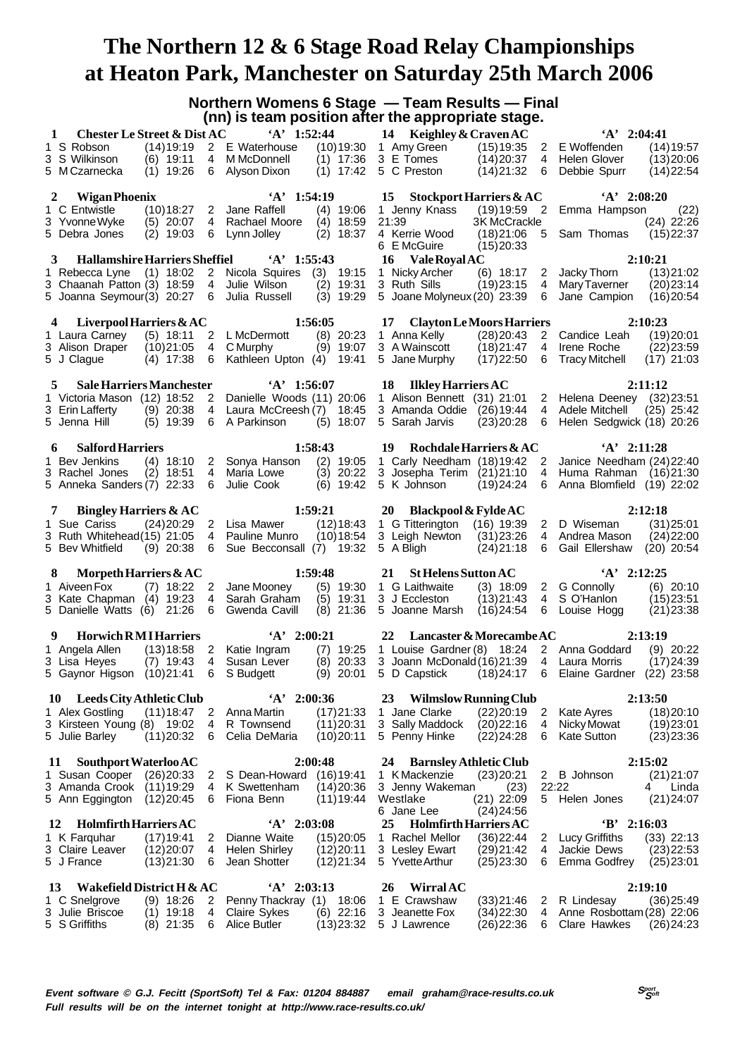**Northern Womens 6 Stage — Team Results — Final (nn) is team position after the appropriate stage.**

|                                                         |               |                | find to require because are the appropriate etager |              |                             |                                    |                |                                           |              |
|---------------------------------------------------------|---------------|----------------|----------------------------------------------------|--------------|-----------------------------|------------------------------------|----------------|-------------------------------------------|--------------|
| <b>Chester Le Street &amp; Dist AC</b><br>1             |               |                | $'A'$ 1:52:44                                      |              | 14 Keighley & Craven AC     |                                    |                | $'A'$ 2:04:41                             |              |
| 1 S Robson                                              | (14) 19:19    |                | 2 E Waterhouse                                     | (10)19:30    | 1 Amy Green                 | (15)19:35                          | $2^{\circ}$    | E Woffenden                               | (14)19:57    |
| 3 S Wilkinson                                           | $(6)$ 19:11   | 4              | M McDonnell                                        | $(1)$ 17:36  | 3 E Tomes                   | (14)20:37                          | 4              | Helen Glover                              | (13)20:06    |
| 5 M Czarnecka                                           | $(1)$ 19:26   |                | 6 Alyson Dixon                                     | $(1)$ 17:42  | 5 C Preston                 | (14)21:32                          | 6              | Debbie Spurr                              | (14)22:54    |
|                                                         |               |                |                                                    |              |                             |                                    |                |                                           |              |
| Wigan Phoenix<br>2                                      |               |                | $A'$ 1:54:19                                       |              | 15                          | <b>Stockport Harriers &amp; AC</b> |                | $A'$ 2:08:20                              |              |
| 1 C Entwistle                                           | (10)18:27     | $\overline{2}$ | Jane Raffell                                       | $(4)$ 19:06  | 1 Jenny Knass               |                                    |                | (19) 19:59 2 Emma Hampson                 | (22)         |
| 3 Yvonne Wyke                                           | $(5)$ 20:07   | $\overline{4}$ | Rachael Moore                                      | $(4)$ 18:59  | 21:39                       | <b>3K McCrackle</b>                |                |                                           | $(24)$ 22:26 |
| 5 Debra Jones                                           | $(2)$ 19:03   | 6              | Lynn Jolley                                        | $(2)$ 18:37  | 4 Kerrie Wood               | $(18)21:06$ 5                      |                | Sam Thomas                                | (15)22:37    |
|                                                         |               |                |                                                    |              | 6 E McGuire                 |                                    |                |                                           |              |
|                                                         |               |                |                                                    |              |                             | (15)20:33                          |                |                                           |              |
| <b>Hallamshire Harriers Sheffiel</b><br>3               |               |                | $A'$ 1:55:43                                       |              | 16<br>Vale Royal AC         |                                    |                |                                           | 2:10:21      |
| 1 Rebecca Lyne (1) 18:02 2                              |               |                | Nicola Squires                                     | (3)<br>19:15 | 1 Nicky Archer              | $(6)$ 18:17                        | $\overline{2}$ | Jacky Thorn                               | (13)21:02    |
| 3 Chaanah Patton (3) 18:59 4                            |               |                | Julie Wilson                                       | $(2)$ 19:31  | 3 Ruth Sills                | (19)23:15                          | $\overline{4}$ | Mary Taverner                             | (20)23:14    |
| 5 Joanna Seymour(3) 20:27 6 Julia Russell               |               |                |                                                    | $(3)$ 19:29  | 5 Joane Molyneux (20) 23:39 |                                    | 6              | Jane Campion                              | (16)20:54    |
|                                                         |               |                |                                                    |              |                             |                                    |                |                                           |              |
| 4 Liverpool Harriers & AC                               |               |                |                                                    | 1:56:05      |                             | 17 Clayton Le Moors Harriers       |                |                                           | 2:10:23      |
| 1 Laura Carney                                          | $(5)$ 18:11   | $\overline{2}$ | L McDermott                                        | $(8)$ 20:23  | 1 Anna Kelly                | (28)20:43                          | $2^{\circ}$    | Candice Leah                              | (19)20:01    |
| 3 Alison Draper                                         | (10)21:05     | 4              | C Murphy                                           | $(9)$ 19:07  | 3 A Wainscott               | (18)21:47                          | 4              | Irene Roche                               | (22)23:59    |
| 5 J Clague                                              | $(4)$ 17:38   | 6              | Kathleen Upton (4)                                 | 19:41        | 5 Jane Murphy               | (17)22:50                          | 6              | <b>Tracy Mitchell</b>                     | $(17)$ 21:03 |
|                                                         |               |                |                                                    |              |                             |                                    |                |                                           |              |
| 5<br><b>Sale Harriers Manchester</b>                    |               |                | $A'$ 1:56:07                                       |              | 18 Ilkley Harriers AC       |                                    |                |                                           | 2:11:12      |
| 1 Victoria Mason (12) 18:52 2 Danielle Woods (11) 20:06 |               |                |                                                    |              | 1 Alison Bennett (31) 21:01 |                                    |                | 2 Helena Deeney (32) 23:51                |              |
| 3 Erin Lafferty                                         | $(9)$ 20:38   |                | 4 Laura McCreesh (7)                               | 18:45        | 3 Amanda Oddie              | (26)19:44                          | 4              | Adele Mitchell                            | $(25)$ 25:42 |
| 5 Jenna Hill                                            | $(5)$ 19:39   | 6              | A Parkinson                                        | $(5)$ 18:07  | 5 Sarah Jarvis              | (23)20:28                          | 6              | Helen Sedgwick (18) 20:26                 |              |
|                                                         |               |                |                                                    |              |                             |                                    |                |                                           |              |
| <b>Salford Harriers</b><br>6                            |               |                |                                                    | 1:58:43      | 19                          | <b>Rochdale Harriers &amp; AC</b>  |                | $A'$ 2:11:28                              |              |
| 1 Bev Jenkins                                           | $(4)$ 18:10   |                | 2 Sonya Hanson                                     | $(2)$ 19:05  | 1 Carly Needham (18) 19:42  |                                    | $\overline{2}$ | Janice Needham (24) 22:40                 |              |
| 3 Rachel Jones                                          | $(2)$ 18:51   | $\overline{4}$ | Maria Lowe                                         | $(3)$ 20:22  | 3 Josepha Terim (21)21:10   |                                    | $\overline{4}$ | Huma Rahman (16)21:30                     |              |
| 5 Anneka Sanders (7) 22:33                              |               | 6              | Julie Cook                                         | $(6)$ 19:42  | 5 K Johnson                 | (19)24:24                          | 6              | Anna Blomfield (19) 22:02                 |              |
|                                                         |               |                |                                                    |              |                             |                                    |                |                                           |              |
| <b>Bingley Harriers &amp; AC</b><br>7                   |               |                |                                                    | 1:59:21      | 20                          | <b>Blackpool &amp; Fylde AC</b>    |                |                                           | 2:12:18      |
| 1 Sue Cariss                                            | (24)20:29     |                | 2 Lisa Mawer                                       | (12)18:43    | 1 G Titterington            | $(16)$ 19:39                       | $\overline{2}$ | D Wiseman                                 | (31)25:01    |
| 3 Ruth Whitehead(15) 21:05                              |               | 4              | Pauline Munro                                      | (10)18:54    | 3 Leigh Newton              | (31)23:26                          | 4              | Andrea Mason                              | (24)22:00    |
| 5 Bev Whitfield                                         | $(9)$ 20:38   | 6              | Sue Becconsall (7) 19:32                           |              | 5 A Bligh                   | (24)21:18                          | 6              | Gail Ellershaw (20) 20:54                 |              |
|                                                         |               |                |                                                    |              |                             |                                    |                |                                           |              |
| Morpeth Harriers & AC<br>8                              |               |                |                                                    | 1:59:48      | 21                          | <b>St Helens Sutton AC</b>         |                | $A'$ 2:12:25                              |              |
| 1 Aiveen Fox                                            | $(7)$ 18:22 2 |                | Jane Mooney                                        | $(5)$ 19:30  | 1 G Laithwaite              | $(3)$ 18:09                        |                | 2 G Connolly                              | $(6)$ 20:10  |
| 3 Kate Chapman (4) 19:23                                |               | 4              | Sarah Graham                                       | $(5)$ 19:31  | 3 J Eccleston               | (13)21:43                          | 4              | S O'Hanlon                                | (15)23:51    |
| 5 Danielle Watts (6) 21:26                              |               | 6              | Gwenda Cavill                                      | $(8)$ 21:36  | 5 Joanne Marsh              | (16)24:54                          | 6              | Louise Hogg                               | (21)23:38    |
|                                                         |               |                |                                                    |              |                             |                                    |                |                                           |              |
| <b>Horwich RM I Harriers</b><br>9                       |               |                | $A'$ 2:00:21                                       |              | 22                          | Lancaster & Morecambe AC           |                |                                           | 2:13:19      |
| 1 Angela Allen                                          |               |                | (13) 18:58 2 Katie Ingram                          | $(7)$ 19:25  |                             |                                    |                | 1 Louise Gardner (8) 18:24 2 Anna Goddard | $(9)$ 20:22  |
| 3 Lisa Heyes                                            | $(7)$ 19:43   |                | 4 Susan Lever                                      |              | 3 Joann McDonald (16) 21:39 |                                    |                | 4 Laura Morris                            | (17)24:39    |
| 5 Gaynor Higson (10) 21:41                              |               | 6              | S Budgett                                          | $(8)$ 20:33  | 5 D Capstick                | (18) 24:17                         |                | 6 Elaine Gardner (22) 23:58               |              |
|                                                         |               |                |                                                    | $(9)$ 20:01  |                             |                                    |                |                                           |              |
| <b>Leeds City Athletic Club</b><br>10                   |               |                | $'A'$ 2:00:36                                      |              | 23                          | <b>Wilmslow Running Club</b>       |                |                                           | 2:13:50      |
| 1 Alex Gostling                                         | (11)18:47     | $\overline{2}$ | Anna Martin                                        | (17)21:33    | 1 Jane Clarke               | (22)20:19                          | 2              | <b>Kate Ayres</b>                         |              |
| 3 Kirsteen Young (8) 19:02                              |               | 4              | R Townsend                                         |              | 3 Sally Maddock             |                                    | 4              |                                           | (18)20:10    |
| 5 Julie Barley                                          | (11)20:32     | 6              | Celia DeMaria                                      | (11)20:31    | 5 Penny Hinke               | (20)22:16<br>(22)24:28             | 6              | Nicky Mowat<br><b>Kate Sutton</b>         | (19)23:01    |
|                                                         |               |                |                                                    | (10)20:11    |                             |                                    |                |                                           | (23)23:36    |
| Southport Waterloo AC<br>11                             |               |                |                                                    | 2:00:48      | 24                          | <b>Barnsley Athletic Club</b>      |                |                                           | 2:15:02      |
|                                                         |               |                |                                                    |              |                             |                                    |                |                                           |              |
| 1 Susan Cooper                                          | (26)20:33     | 2              | S Dean-Howard                                      | (16)19:41    | 1 K Mackenzie               | (23)20:21                          | $2^{\circ}$    | <b>B</b> Johnson                          | (21)21:07    |
| 3 Amanda Crook                                          | (11)19:29     | 4              | K Swettenham                                       | (14)20:36    | 3 Jenny Wakeman             | (23)                               |                | 22:22                                     | 4<br>Linda   |
| 5 Ann Eggington                                         | (12)20:45     | 6              | Fiona Benn                                         | (11)19:44    | Westlake                    | $(21)$ 22:09                       | 5              | Helen Jones                               | (21)24:07    |
|                                                         |               |                |                                                    |              | 6 Jane Lee                  | (24)24:56                          |                |                                           |              |
| <b>Holmfirth Harriers AC</b><br>12                      |               |                | $A'$ 2:03:08                                       |              | 25                          | <b>Holmfirth Harriers AC</b>       |                | $B'$ 2:16:03                              |              |
| 1 K Farquhar                                            | (17)19:41     | 2              | Dianne Waite                                       | (15)20:05    | 1 Rachel Mellor             | (36)22:44                          | 2              | <b>Lucy Griffiths</b>                     | $(33)$ 22:13 |
| 3 Claire Leaver                                         | (12)20:07     | 4              | Helen Shirley                                      | (12)20:11    | 3 Lesley Ewart              | (29)21:42                          | 4              | Jackie Dews                               | (23)22:53    |
| 5 J France                                              | (13)21:30     | 6              | Jean Shotter                                       | (12)21:34    | 5 Yvette Arthur             | (25)23:30                          | 6              | Emma Godfrey                              | (25)23:01    |
|                                                         |               |                |                                                    |              |                             |                                    |                |                                           |              |
| Wakefield District H & AC<br>13                         |               |                | $'A'$ 2:03:13                                      |              | 26<br><b>Wirral AC</b>      |                                    |                |                                           | 2:19:10      |
| 1 C Snelgrove                                           | $(9)$ 18:26   | 2              | Penny Thackray (1)                                 | 18:06        | 1 E Crawshaw                | (33)21:46                          | $\overline{2}$ | R Lindesay                                | (36)25:49    |
| 3 Julie Briscoe                                         | $(1)$ 19:18   | 4              | <b>Claire Sykes</b>                                | $(6)$ 22:16  | 3 Jeanette Fox              | (34)22:30                          | 4              | Anne Rosbottam (28) 22:06                 |              |
| 5 S Griffiths                                           | $(8)$ 21:35   | 6              | Alice Butler                                       | (13)23:32    | 5 J Lawrence                | (26) 22:36                         | 6              | Clare Hawkes                              | (26)24:23    |